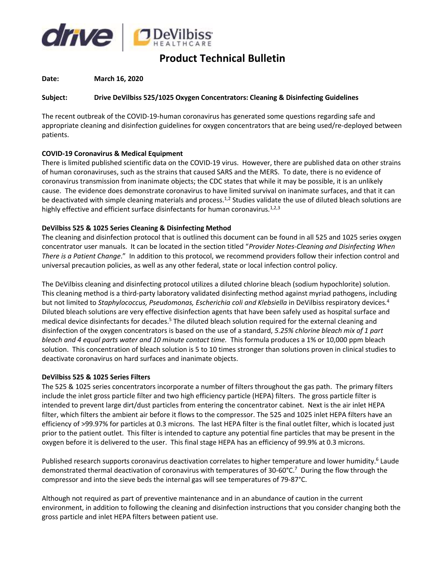

# **Product Technical Bulletin**

## **Date: March 16, 2020**

## **Subject: Drive DeVilbiss 525/1025 Oxygen Concentrators: Cleaning & Disinfecting Guidelines**

The recent outbreak of the COVID-19-human coronavirus has generated some questions regarding safe and appropriate cleaning and disinfection guidelines for oxygen concentrators that are being used/re-deployed between patients.

## **COVID-19 Coronavirus & Medical Equipment**

There is limited published scientific data on the COVID-19 virus. However, there are published data on other strains of human coronaviruses, such as the strains that caused SARS and the MERS. To date, there is no evidence of coronavirus transmission from inanimate objects; the CDC states that while it may be possible, it is an unlikely cause. The evidence does demonstrate coronavirus to have limited survival on inanimate surfaces, and that it can be deactivated with simple cleaning materials and process.<sup>1,2</sup> Studies validate the use of diluted bleach solutions are highly effective and efficient surface disinfectants for human coronavirus.<sup>1,2,3</sup>

# **DeVilbiss 525 & 1025 Series Cleaning & Disinfecting Method**

The cleaning and disinfection protocol that is outlined this document can be found in all 525 and 1025 series oxygen concentrator user manuals. It can be located in the section titled "*Provider Notes-Cleaning and Disinfecting When There is a Patient Change*." In addition to this protocol, we recommend providers follow their infection control and universal precaution policies, as well as any other federal, state or local infection control policy.

The DeVilbiss cleaning and disinfecting protocol utilizes a diluted chlorine bleach (sodium hypochlorite) solution. This cleaning method is a third-party laboratory validated disinfecting method against myriad pathogens, including but not limited to *Staphylococcus, Pseudomonas, Escherichia coli and Klebsiella* in DeVilbiss respiratory devices*.* 4 Diluted bleach solutions are very effective disinfection agents that have been safely used as hospital surface and medical device disinfectants for decades.<sup>5</sup> The diluted bleach solution required for the external cleaning and disinfection of the oxygen concentrators is based on the use of a standard, *5.25% chlorine bleach mix of 1 part bleach and 4 equal parts water and 10 minute contact time.* This formula produces a 1% or 10,000 ppm bleach solution. This concentration of bleach solution is 5 to 10 times stronger than solutions proven in clinical studies to deactivate coronavirus on hard surfaces and inanimate objects.

#### **DeVilbiss 525 & 1025 Series Filters**

The 525 & 1025 series concentrators incorporate a number of filters throughout the gas path. The primary filters include the inlet gross particle filter and two high efficiency particle (HEPA) filters. The gross particle filter is intended to prevent large dirt/dust particles from entering the concentrator cabinet. Next is the air inlet HEPA filter, which filters the ambient air before it flows to the compressor. The 525 and 1025 inlet HEPA filters have an efficiency of >99.97% for particles at 0.3 microns. The last HEPA filter is the final outlet filter, which is located just prior to the patient outlet. This filter is intended to capture any potential fine particles that may be present in the oxygen before it is delivered to the user. This final stage HEPA has an efficiency of 99.9% at 0.3 microns.

Published research supports coronavirus deactivation correlates to higher temperature and lower humidity.<sup>6</sup> Laude demonstrated thermal deactivation of coronavirus with temperatures of 30-60°C.<sup>7</sup> During the flow through the compressor and into the sieve beds the internal gas will see temperatures of 79-87°C.

Although not required as part of preventive maintenance and in an abundance of caution in the current environment, in addition to following the cleaning and disinfection instructions that you consider changing both the gross particle and inlet HEPA filters between patient use.